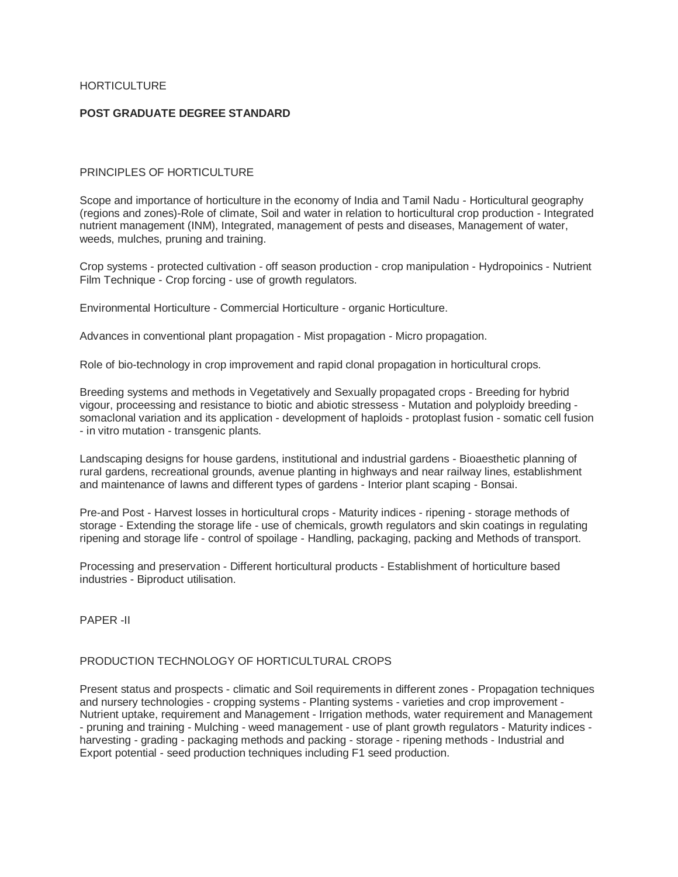HORTICULTURE

# **POST GRADUATE DEGREE STANDARD**

# PRINCIPLES OF HORTICULTURE

Scope and importance of horticulture in the economy of India and Tamil Nadu - Horticultural geography (regions and zones)-Role of climate, Soil and water in relation to horticultural crop production - Integrated nutrient management (INM), Integrated, management of pests and diseases, Management of water, weeds, mulches, pruning and training.

Crop systems - protected cultivation - off season production - crop manipulation - Hydropoinics - Nutrient Film Technique - Crop forcing - use of growth regulators.

Environmental Horticulture - Commercial Horticulture - organic Horticulture.

Advances in conventional plant propagation - Mist propagation - Micro propagation.

Role of bio-technology in crop improvement and rapid clonal propagation in horticultural crops.

Breeding systems and methods in Vegetatively and Sexually propagated crops - Breeding for hybrid vigour, proceessing and resistance to biotic and abiotic stressess - Mutation and polyploidy breeding somaclonal variation and its application - development of haploids - protoplast fusion - somatic cell fusion - in vitro mutation - transgenic plants.

Landscaping designs for house gardens, institutional and industrial gardens - Bioaesthetic planning of rural gardens, recreational grounds, avenue planting in highways and near railway lines, establishment and maintenance of lawns and different types of gardens - Interior plant scaping - Bonsai.

Pre-and Post - Harvest losses in horticultural crops - Maturity indices - ripening - storage methods of storage - Extending the storage life - use of chemicals, growth regulators and skin coatings in regulating ripening and storage life - control of spoilage - Handling, packaging, packing and Methods of transport.

Processing and preservation - Different horticultural products - Establishment of horticulture based industries - Biproduct utilisation.

PAPER -II

# PRODUCTION TECHNOLOGY OF HORTICULTURAL CROPS

Present status and prospects - climatic and Soil requirements in different zones - Propagation techniques and nursery technologies - cropping systems - Planting systems - varieties and crop improvement - Nutrient uptake, requirement and Management - Irrigation methods, water requirement and Management - pruning and training - Mulching - weed management - use of plant growth regulators - Maturity indices harvesting - grading - packaging methods and packing - storage - ripening methods - Industrial and Export potential - seed production techniques including F1 seed production.